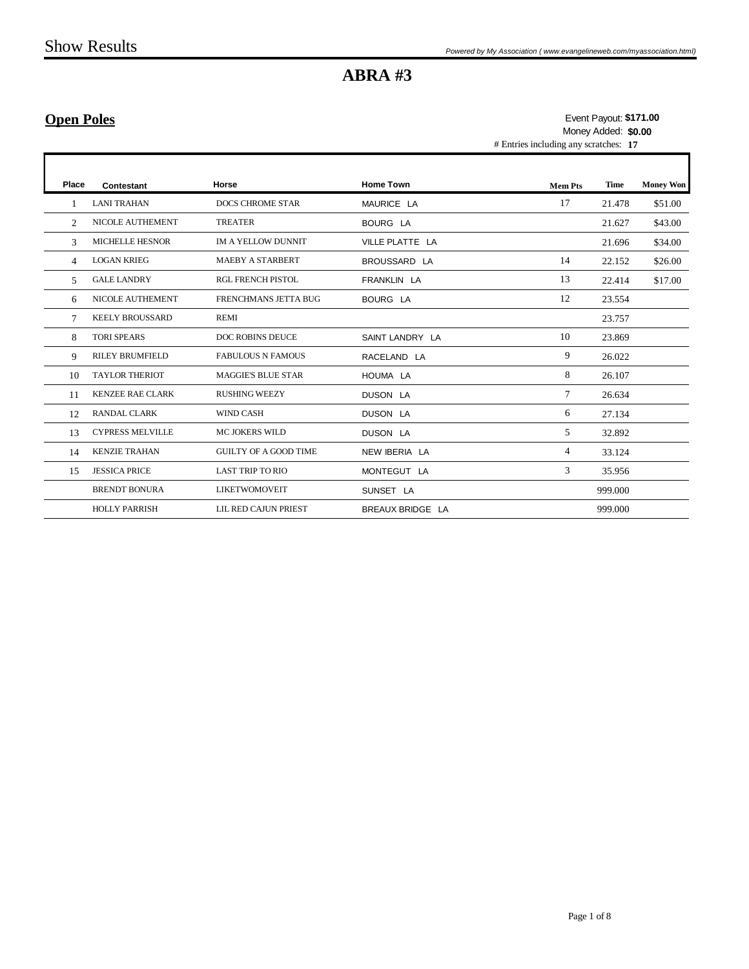## **Open Poles**

п

# Entries including any scratches: **17 \$171.00** Event Payout: Money Added: **\$0.00**

| Place          | Contestant              | Horse                        | <b>Home Town</b> | <b>Mem Pts</b> | Time    | <b>Money Won</b> |
|----------------|-------------------------|------------------------------|------------------|----------------|---------|------------------|
|                | <b>LANI TRAHAN</b>      | <b>DOCS CHROME STAR</b>      | MAURICE LA       | 17             | 21.478  | \$51.00          |
| $\mathfrak{D}$ | <b>NICOLE AUTHEMENT</b> | <b>TREATER</b>               | <b>BOURG LA</b>  |                | 21.627  | \$43.00          |
| 3              | <b>MICHELLE HESNOR</b>  | <b>IM A YELLOW DUNNIT</b>    | VILLE PLATTE LA  |                | 21.696  | \$34.00          |
| 4              | <b>LOGAN KRIEG</b>      | <b>MAEBY A STARBERT</b>      | BROUSSARD LA     | 14             | 22.152  | \$26.00          |
| 5              | <b>GALE LANDRY</b>      | <b>RGL FRENCH PISTOL</b>     | FRANKLIN LA      | 13             | 22.414  | \$17.00          |
| 6              | NICOLE AUTHEMENT        | <b>FRENCHMANS JETTA BUG</b>  | <b>BOURG LA</b>  | 12             | 23.554  |                  |
| 7              | <b>KEELY BROUSSARD</b>  | <b>REMI</b>                  |                  |                | 23.757  |                  |
| 8              | <b>TORI SPEARS</b>      | <b>DOC ROBINS DEUCE</b>      | SAINT LANDRY LA  | 10             | 23.869  |                  |
| 9              | <b>RILEY BRUMFIELD</b>  | <b>FABULOUS N FAMOUS</b>     | RACELAND LA      | 9              | 26.022  |                  |
| 10             | <b>TAYLOR THERIOT</b>   | <b>MAGGIE'S BLUE STAR</b>    | HOUMA LA         | 8              | 26.107  |                  |
| 11             | <b>KENZEE RAE CLARK</b> | <b>RUSHING WEEZY</b>         | <b>DUSON LA</b>  | $\tau$         | 26.634  |                  |
| 12             | RANDAL CLARK            | <b>WIND CASH</b>             | <b>DUSON LA</b>  | 6              | 27.134  |                  |
| 13             | <b>CYPRESS MELVILLE</b> | <b>MC JOKERS WILD</b>        | <b>DUSON LA</b>  | 5              | 32.892  |                  |
| 14             | <b>KENZIE TRAHAN</b>    | <b>GUILTY OF A GOOD TIME</b> | NEW IBERIA LA    | $\overline{4}$ | 33.124  |                  |
| 15             | <b>JESSICA PRICE</b>    | <b>LAST TRIP TO RIO</b>      | MONTEGUT LA      | 3              | 35.956  |                  |
|                | <b>BRENDT BONURA</b>    | <b>LIKETWOMOVEIT</b>         | SUNSET LA        |                | 999.000 |                  |
|                | <b>HOLLY PARRISH</b>    | LIL RED CAJUN PRIEST         | BREAUX BRIDGE LA |                | 999.000 |                  |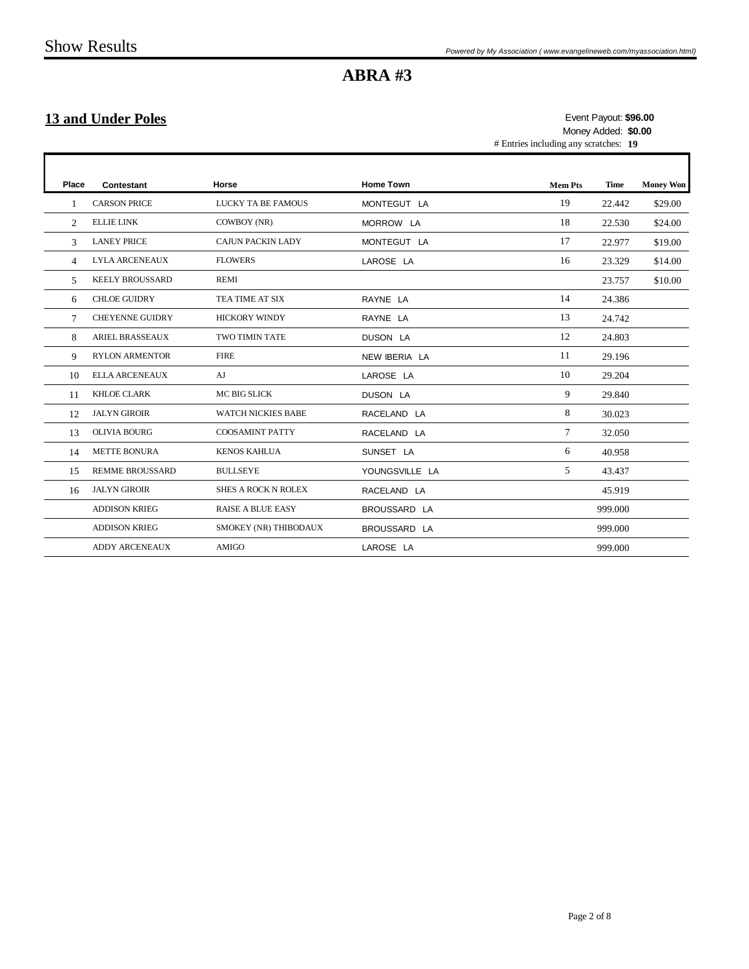## **13 and Under Poles**

# Entries including any scratches: **19 \$96.00** Event Payout: Money Added: **\$0.00**

ī

| Place          | Contestant             | Horse                      | <b>Home Town</b> | <b>Mem Pts</b> | Time    | <b>Money Won</b> |
|----------------|------------------------|----------------------------|------------------|----------------|---------|------------------|
| $\mathbf{1}$   | <b>CARSON PRICE</b>    | <b>LUCKY TA BE FAMOUS</b>  | MONTEGUT LA      | 19             | 22.442  | \$29.00          |
| 2              | <b>ELLIE LINK</b>      | COWBOY (NR)                | MORROW LA        | 18             | 22.530  | \$24.00          |
| 3              | <b>LANEY PRICE</b>     | <b>CAJUN PACKIN LADY</b>   | MONTEGUT LA      | 17             | 22.977  | \$19.00          |
| $\overline{4}$ | <b>LYLA ARCENEAUX</b>  | <b>FLOWERS</b>             | LAROSE LA        | 16             | 23.329  | \$14.00          |
| 5              | <b>KEELY BROUSSARD</b> | <b>REMI</b>                |                  |                | 23.757  | \$10.00          |
| 6              | <b>CHLOE GUIDRY</b>    | TEA TIME AT SIX            | RAYNE LA         | 14             | 24.386  |                  |
| $\tau$         | <b>CHEYENNE GUIDRY</b> | <b>HICKORY WINDY</b>       | RAYNE LA         | 13             | 24.742  |                  |
| 8              | <b>ARIEL BRASSEAUX</b> | <b>TWO TIMIN TATE</b>      | DUSON LA         | 12             | 24.803  |                  |
| 9              | <b>RYLON ARMENTOR</b>  | <b>FIRE</b>                | NEW IBERIA LA    | 11             | 29.196  |                  |
| 10             | <b>ELLA ARCENEAUX</b>  | AJ                         | LAROSE LA        | 10             | 29.204  |                  |
| 11             | KHLOE CLARK            | <b>MC BIG SLICK</b>        | DUSON LA         | 9              | 29.840  |                  |
| 12             | <b>JALYN GIROIR</b>    | <b>WATCH NICKIES BABE</b>  | RACELAND LA      | 8              | 30.023  |                  |
| 13             | <b>OLIVIA BOURG</b>    | <b>COOSAMINT PATTY</b>     | RACELAND LA      | 7              | 32.050  |                  |
| 14             | <b>METTE BONURA</b>    | <b>KENOS KAHLUA</b>        | SUNSET LA        | 6              | 40.958  |                  |
| 15             | <b>REMME BROUSSARD</b> | <b>BULLSEYE</b>            | YOUNGSVILLE LA   | 5              | 43.437  |                  |
| 16             | <b>JALYN GIROIR</b>    | <b>SHES A ROCK N ROLEX</b> | RACELAND LA      |                | 45.919  |                  |
|                | <b>ADDISON KRIEG</b>   | <b>RAISE A BLUE EASY</b>   | BROUSSARD LA     |                | 999.000 |                  |
|                | <b>ADDISON KRIEG</b>   | SMOKEY (NR) THIBODAUX      | BROUSSARD LA     |                | 999.000 |                  |
|                | <b>ADDY ARCENEAUX</b>  | <b>AMIGO</b>               | LAROSE LA        |                | 999.000 |                  |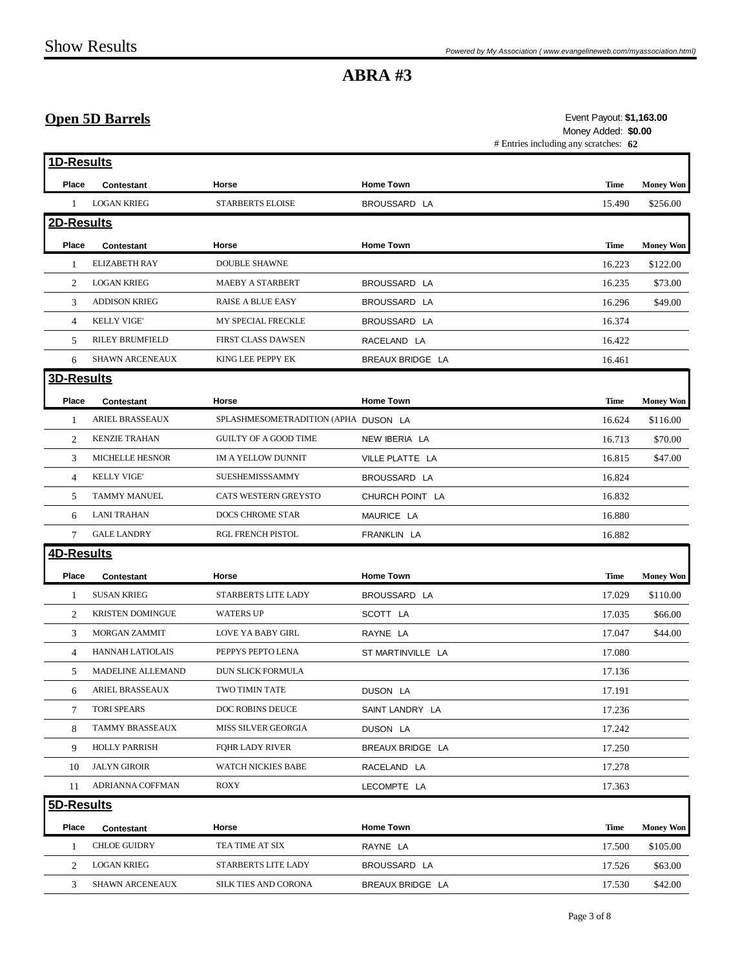## **Open 5D Barrels**

#### # Entries including any scratches: **62 \$1,163.00** Event Payout: Money Added: **\$0.00**

| 1D-Results     |                         |                                      |                   |             |                  |
|----------------|-------------------------|--------------------------------------|-------------------|-------------|------------------|
| Place          | Contestant              | Horse                                | <b>Home Town</b>  | <b>Time</b> | <b>Money Won</b> |
| 1              | <b>LOGAN KRIEG</b>      | <b>STARBERTS ELOISE</b>              | BROUSSARD LA      | 15.490      | \$256.00         |
| 2D-Results     |                         |                                      |                   |             |                  |
| Place          | Contestant              | Horse                                | <b>Home Town</b>  | <b>Time</b> | <b>Money Won</b> |
| 1              | <b>ELIZABETH RAY</b>    | <b>DOUBLE SHAWNE</b>                 |                   | 16.223      | \$122.00         |
| 2              | <b>LOGAN KRIEG</b>      | <b>MAEBY A STARBERT</b>              | BROUSSARD LA      | 16.235      | \$73.00          |
| 3              | <b>ADDISON KRIEG</b>    | <b>RAISE A BLUE EASY</b>             | BROUSSARD LA      | 16.296      | \$49.00          |
| 4              | <b>KELLY VIGE</b>       | MY SPECIAL FRECKLE                   | BROUSSARD LA      | 16.374      |                  |
| 5              | <b>RILEY BRUMFIELD</b>  | FIRST CLASS DAWSEN                   | RACELAND LA       | 16.422      |                  |
| 6              | SHAWN ARCENEAUX         | KING LEE PEPPY EK                    | BREAUX BRIDGE LA  | 16.461      |                  |
| 3D-Results     |                         |                                      |                   |             |                  |
| Place          | Contestant              | Horse                                | <b>Home Town</b>  | Time        | <b>Money Won</b> |
| 1              | <b>ARIEL BRASSEAUX</b>  | SPLASHMESOMETRADITION (APHA DUSON LA |                   | 16.624      | \$116.00         |
| 2              | <b>KENZIE TRAHAN</b>    | <b>GUILTY OF A GOOD TIME</b>         | NEW IBERIA LA     | 16.713      | \$70.00          |
| 3              | <b>MICHELLE HESNOR</b>  | <b>IM A YELLOW DUNNIT</b>            | VILLE PLATTE LA   | 16.815      | \$47.00          |
| $\overline{4}$ | <b>KELLY VIGE'</b>      | SUESHEMISSSAMMY                      | BROUSSARD LA      | 16.824      |                  |
| 5              | <b>TAMMY MANUEL</b>     | <b>CATS WESTERN GREYSTO</b>          | CHURCH POINT LA   | 16.832      |                  |
| 6              | <b>LANI TRAHAN</b>      | DOCS CHROME STAR                     | MAURICE LA        | 16.880      |                  |
| 7              | <b>GALE LANDRY</b>      | RGL FRENCH PISTOL                    | FRANKLIN LA       | 16.882      |                  |
| 4D-Results     |                         |                                      |                   |             |                  |
| Place          | Contestant              | Horse                                | <b>Home Town</b>  | Time        | <b>Money Won</b> |
| 1              | <b>SUSAN KRIEG</b>      | STARBERTS LITE LADY                  | BROUSSARD LA      | 17.029      | \$110.00         |
| 2              | <b>KRISTEN DOMINGUE</b> | <b>WATERS UP</b>                     | SCOTT LA          | 17.035      | \$66.00          |
| 3              | <b>MORGAN ZAMMIT</b>    | LOVE YA BABY GIRL                    | RAYNE LA          | 17.047      | \$44.00          |
| $\overline{4}$ | HANNAH LATIOLAIS        | PEPPYS PEPTO LENA                    | ST MARTINVILLE LA | 17.080      |                  |
| 5              | MADELINE ALLEMAND       | DUN SLICK FORMULA                    |                   | 17.136      |                  |
| 6              | ARIEL BRASSEAUX         | TWO TIMIN TATE                       | DUSON LA          | 17.191      |                  |
| 7              | <b>TORI SPEARS</b>      | DOC ROBINS DEUCE                     | SAINT LANDRY LA   | 17.236      |                  |
| 8              | TAMMY BRASSEAUX         | MISS SILVER GEORGIA                  | DUSON LA          | 17.242      |                  |
| 9              | <b>HOLLY PARRISH</b>    | <b>FOHR LADY RIVER</b>               | BREAUX BRIDGE LA  | 17.250      |                  |
| 10             | <b>JALYN GIROIR</b>     | WATCH NICKIES BABE                   | RACELAND LA       | 17.278      |                  |
| 11             | ADRIANNA COFFMAN        | <b>ROXY</b>                          | LECOMPTE LA       | 17.363      |                  |
| 5D-Results     |                         |                                      |                   |             |                  |
|                |                         | Horse                                | <b>Home Town</b>  | <b>Time</b> | <b>Money Won</b> |
| Place          | Contestant              |                                      |                   |             |                  |
| 1              | <b>CHLOE GUIDRY</b>     | TEA TIME AT SIX                      | RAYNE LA          | 17.500      | \$105.00         |
| 2              | <b>LOGAN KRIEG</b>      | STARBERTS LITE LADY                  | BROUSSARD LA      | 17.526      | \$63.00          |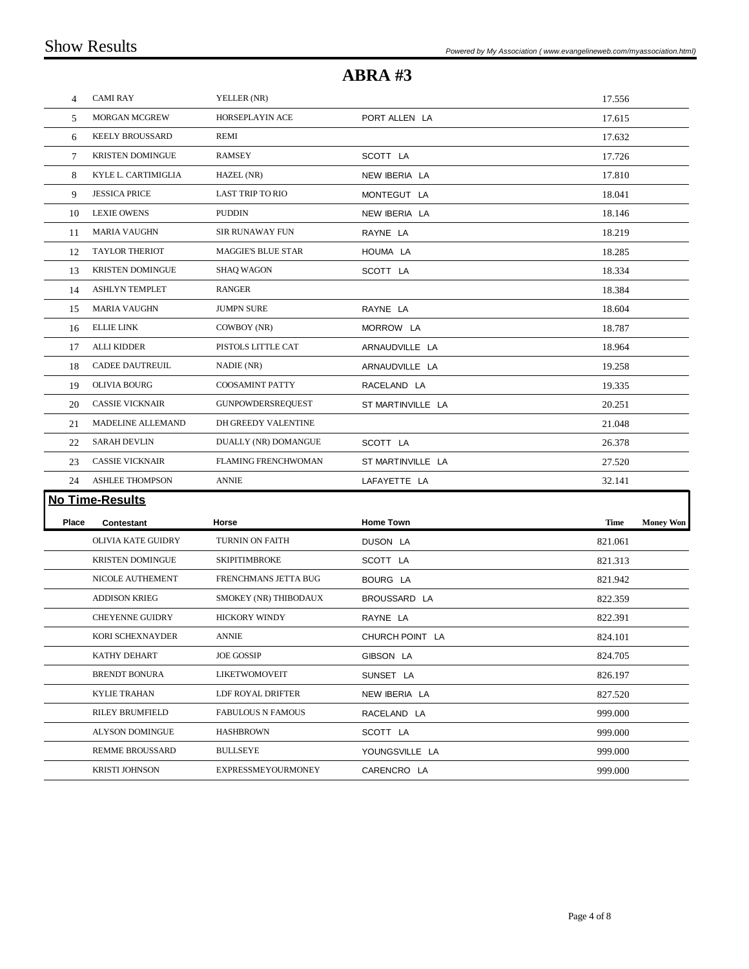| $\overline{4}$ | <b>CAMI RAY</b>           | YELLER (NR)                |                   | 17.556      |                  |
|----------------|---------------------------|----------------------------|-------------------|-------------|------------------|
| 5              | <b>MORGAN MCGREW</b>      | HORSEPLAYIN ACE            | PORT ALLEN LA     | 17.615      |                  |
| 6              | <b>KEELY BROUSSARD</b>    | REMI                       |                   | 17.632      |                  |
| 7              | <b>KRISTEN DOMINGUE</b>   | <b>RAMSEY</b>              | SCOTT LA          | 17.726      |                  |
| 8              | KYLE L. CARTIMIGLIA       | HAZEL (NR)                 | NEW IBERIA LA     | 17.810      |                  |
| 9              | <b>JESSICA PRICE</b>      | <b>LAST TRIP TO RIO</b>    | MONTEGUT LA       | 18.041      |                  |
| 10             | <b>LEXIE OWENS</b>        | <b>PUDDIN</b>              | NEW IBERIA LA     | 18.146      |                  |
| 11             | <b>MARIA VAUGHN</b>       | <b>SIR RUNAWAY FUN</b>     | RAYNE LA          | 18.219      |                  |
| 12             | <b>TAYLOR THERIOT</b>     | <b>MAGGIE'S BLUE STAR</b>  | HOUMA LA          | 18.285      |                  |
| 13             | <b>KRISTEN DOMINGUE</b>   | <b>SHAQ WAGON</b>          | SCOTT LA          | 18.334      |                  |
| 14             | <b>ASHLYN TEMPLET</b>     | <b>RANGER</b>              |                   | 18.384      |                  |
| 15             | <b>MARIA VAUGHN</b>       | <b>JUMPN SURE</b>          | RAYNE LA          | 18.604      |                  |
| 16             | <b>ELLIE LINK</b>         | COWBOY (NR)                | MORROW LA         | 18.787      |                  |
| 17             | <b>ALLI KIDDER</b>        | PISTOLS LITTLE CAT         | ARNAUDVILLE LA    | 18.964      |                  |
| 18             | <b>CADEE DAUTREUIL</b>    | NADIE (NR)                 | ARNAUDVILLE LA    | 19.258      |                  |
| 19             | <b>OLIVIA BOURG</b>       | <b>COOSAMINT PATTY</b>     | RACELAND LA       | 19.335      |                  |
| 20             | <b>CASSIE VICKNAIR</b>    | <b>GUNPOWDERSREQUEST</b>   | ST MARTINVILLE LA | 20.251      |                  |
| 21             | MADELINE ALLEMAND         | DH GREEDY VALENTINE        |                   | 21.048      |                  |
| 22             | <b>SARAH DEVLIN</b>       | DUALLY (NR) DOMANGUE       | SCOTT LA          | 26.378      |                  |
| 23             | <b>CASSIE VICKNAIR</b>    | <b>FLAMING FRENCHWOMAN</b> | ST MARTINVILLE LA | 27.520      |                  |
| 24             | <b>ASHLEE THOMPSON</b>    | <b>ANNIE</b>               | LAFAYETTE LA      | 32.141      |                  |
|                | <b>No Time-Results</b>    |                            |                   |             |                  |
| Place          | Contestant                | Horse                      | <b>Home Town</b>  | <b>Time</b> | <b>Money Won</b> |
|                | <b>OLIVIA KATE GUIDRY</b> | <b>TURNIN ON FAITH</b>     | DUSON LA          | 821.061     |                  |
|                | <b>KRISTEN DOMINGUE</b>   | <b>SKIPITIMBROKE</b>       | SCOTT LA          | 821.313     |                  |
|                | NICOLE AUTHEMENT          | FRENCHMANS JETTA BUG       | BOURG LA          | 821.942     |                  |
|                | <b>ADDISON KRIEG</b>      | SMOKEY (NR) THIBODAUX      | BROUSSARD LA      | 822.359     |                  |
|                | <b>CHEYENNE GUIDRY</b>    | <b>HICKORY WINDY</b>       | RAYNE LA          | 822.391     |                  |
|                | <b>KORI SCHEXNAYDER</b>   | <b>ANNIE</b>               | CHURCH POINT LA   | 824.101     |                  |
|                | KATHY DEHART              | <b>JOE GOSSIP</b>          | GIBSON LA         | 824.705     |                  |
|                | <b>BRENDT BONURA</b>      | LIKETWOMOVEIT              | SUNSET LA         | 826.197     |                  |
|                | <b>KYLIE TRAHAN</b>       | LDF ROYAL DRIFTER          | NEW IBERIA LA     | 827.520     |                  |
|                | <b>RILEY BRUMFIELD</b>    | <b>FABULOUS N FAMOUS</b>   | RACELAND LA       | 999.000     |                  |
|                | <b>ALYSON DOMINGUE</b>    | <b>HASHBROWN</b>           | SCOTT LA          | 999.000     |                  |
|                | <b>REMME BROUSSARD</b>    | <b>BULLSEYE</b>            | YOUNGSVILLE LA    | 999.000     |                  |
|                | <b>KRISTI JOHNSON</b>     | <b>EXPRESSMEYOURMONEY</b>  | CARENCRO LA       | 999.000     |                  |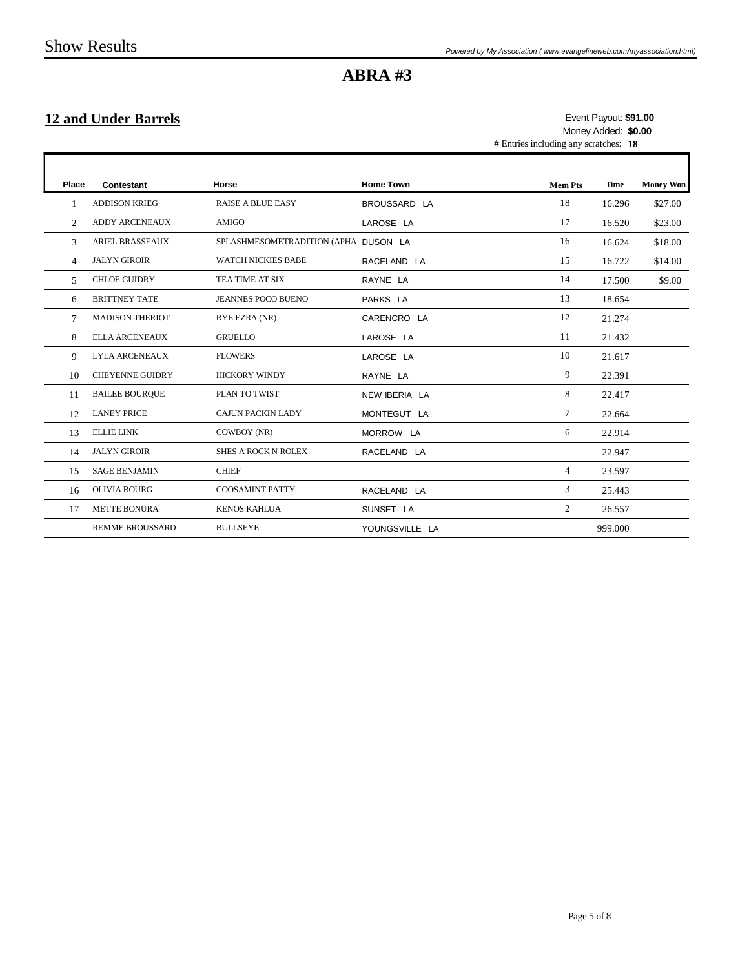## **12 and Under Barrels**

# Entries including any scratches: **18 \$91.00** Event Payout: Money Added: **\$0.00**

ī

| Place          | Contestant             | Horse                                | <b>Home Town</b> | <b>Mem Pts</b> | <b>Time</b> | <b>Money Won</b> |
|----------------|------------------------|--------------------------------------|------------------|----------------|-------------|------------------|
|                | <b>ADDISON KRIEG</b>   | <b>RAISE A BLUE EASY</b>             | BROUSSARD LA     | 18             | 16.296      | \$27.00          |
| $\mathfrak{D}$ | <b>ADDY ARCENEAUX</b>  | <b>AMIGO</b>                         | LAROSE LA        | 17             | 16.520      | \$23.00          |
| $\mathbf{3}$   | <b>ARIEL BRASSEAUX</b> | SPLASHMESOMETRADITION (APHA DUSON LA |                  | 16             | 16.624      | \$18.00          |
| 4              | <b>JALYN GIROIR</b>    | <b>WATCH NICKIES BABE</b>            | RACELAND LA      | 15             | 16.722      | \$14.00          |
| $\overline{5}$ | <b>CHLOE GUIDRY</b>    | TEA TIME AT SIX                      | RAYNE LA         | 14             | 17.500      | \$9.00           |
| 6              | <b>BRITTNEY TATE</b>   | <b>JEANNES POCO BUENO</b>            | PARKS LA         | 13             | 18.654      |                  |
| $\tau$         | <b>MADISON THERIOT</b> | RYE EZRA (NR)                        | CARENCRO LA      | 12             | 21.274      |                  |
| 8              | <b>ELLA ARCENEAUX</b>  | <b>GRUELLO</b>                       | LAROSE LA        | 11             | 21.432      |                  |
| 9              | <b>LYLA ARCENEAUX</b>  | <b>FLOWERS</b>                       | LAROSE LA        | 10             | 21.617      |                  |
| 10             | <b>CHEYENNE GUIDRY</b> | <b>HICKORY WINDY</b>                 | RAYNE LA         | 9              | 22.391      |                  |
| 11             | <b>BAILEE BOURQUE</b>  | PLAN TO TWIST                        | NEW IBERIA LA    | 8              | 22.417      |                  |
| 12             | <b>LANEY PRICE</b>     | <b>CAJUN PACKIN LADY</b>             | MONTEGUT LA      | 7              | 22.664      |                  |
| 13             | <b>ELLIE LINK</b>      | COWBOY (NR)                          | MORROW LA        | 6              | 22.914      |                  |
| 14             | <b>JALYN GIROIR</b>    | <b>SHES A ROCK N ROLEX</b>           | RACELAND LA      |                | 22.947      |                  |
| 15             | <b>SAGE BENJAMIN</b>   | <b>CHIEF</b>                         |                  | $\overline{4}$ | 23.597      |                  |
| 16             | <b>OLIVIA BOURG</b>    | <b>COOSAMINT PATTY</b>               | RACELAND LA      | 3              | 25.443      |                  |
| 17             | METTE BONURA           | <b>KENOS KAHLUA</b>                  | SUNSET LA        | $\overline{2}$ | 26.557      |                  |
|                | <b>REMME BROUSSARD</b> | <b>BULLSEYE</b>                      | YOUNGSVILLE LA   |                | 999.000     |                  |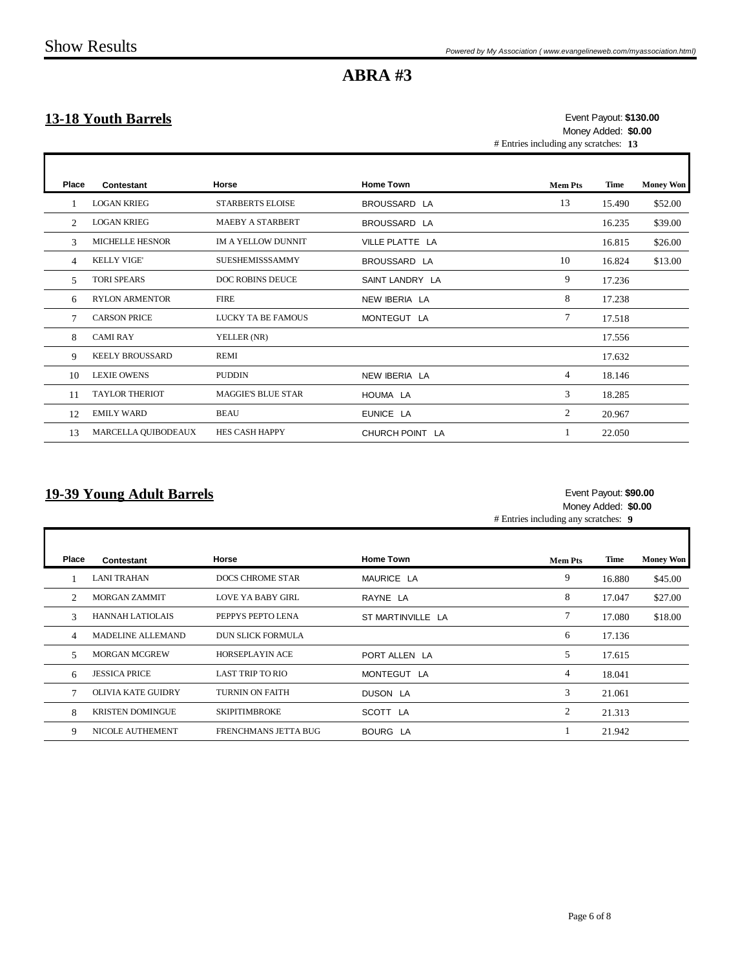Г

Г

## **ABRA #3**

## **13-18 Youth Barrels**

# Entries including any scratches: **13 \$130.00** Event Payout: Money Added: **\$0.00**

| Place | Contestant             | Horse                     | <b>Home Town</b> | <b>Mem Pts</b> | Time   | <b>Money Won</b> |
|-------|------------------------|---------------------------|------------------|----------------|--------|------------------|
|       | <b>LOGAN KRIEG</b>     | <b>STARBERTS ELOISE</b>   | BROUSSARD LA     | 13             | 15.490 | \$52.00          |
| 2     | <b>LOGAN KRIEG</b>     | <b>MAEBY A STARBERT</b>   | BROUSSARD LA     |                | 16.235 | \$39.00          |
| 3     | <b>MICHELLE HESNOR</b> | <b>IM A YELLOW DUNNIT</b> | VILLE PLATTE LA  |                | 16.815 | \$26.00          |
| 4     | <b>KELLY VIGE'</b>     | <b>SUESHEMISSSAMMY</b>    | BROUSSARD LA     | 10             | 16.824 | \$13.00          |
| 5     | <b>TORI SPEARS</b>     | <b>DOC ROBINS DEUCE</b>   | SAINT LANDRY LA  | 9              | 17.236 |                  |
| 6     | <b>RYLON ARMENTOR</b>  | <b>FIRE</b>               | NEW IBERIA LA    | 8              | 17.238 |                  |
| 7     | <b>CARSON PRICE</b>    | LUCKY TA BE FAMOUS        | MONTEGUT LA      | 7              | 17.518 |                  |
| 8     | <b>CAMI RAY</b>        | YELLER (NR)               |                  |                | 17.556 |                  |
| 9     | <b>KEELY BROUSSARD</b> | REMI                      |                  |                | 17.632 |                  |
| 10    | <b>LEXIE OWENS</b>     | <b>PUDDIN</b>             | NEW IBERIA LA    | 4              | 18.146 |                  |
| 11    | <b>TAYLOR THERIOT</b>  | <b>MAGGIE'S BLUE STAR</b> | HOUMA LA         | 3              | 18.285 |                  |
| 12    | <b>EMILY WARD</b>      | <b>BEAU</b>               | EUNICE LA        | $\mathfrak{2}$ | 20.967 |                  |
| 13    | MARCELLA QUIBODEAUX    | <b>HES CASH HAPPY</b>     | CHURCH POINT LA  |                | 22.050 |                  |

### **19-39 Young Adult Barrels**

#### **\$90.00** Event Payout: Money Added: **\$0.00**

# Entries including any scratches: **9**

| <b>Place</b>   | Contestant                | <b>Horse</b>             | <b>Home Town</b>  | <b>Mem Pts</b> | Time   | <b>Money Won</b> |
|----------------|---------------------------|--------------------------|-------------------|----------------|--------|------------------|
|                | <b>LANI TRAHAN</b>        | DOCS CHROME STAR         | MAURICE LA        | 9              | 16.880 | \$45.00          |
| $\mathfrak{D}$ | <b>MORGAN ZAMMIT</b>      | LOVE YA BABY GIRL        | RAYNE LA          | 8              | 17.047 | \$27.00          |
| $\mathcal{R}$  | <b>HANNAH LATIOLAIS</b>   | PEPPYS PEPTO LENA        | ST MARTINVILLE LA |                | 17.080 | \$18.00          |
| $\overline{4}$ | MADELINE ALLEMAND         | <b>DUN SLICK FORMULA</b> |                   | 6              | 17.136 |                  |
| 5              | <b>MORGAN MCGREW</b>      | <b>HORSEPLAYIN ACE</b>   | PORT ALLEN LA     | 5              | 17.615 |                  |
| 6              | <b>JESSICA PRICE</b>      | <b>LAST TRIP TO RIO</b>  | MONTEGUT LA       | 4              | 18.041 |                  |
|                | <b>OLIVIA KATE GUIDRY</b> | TURNIN ON FAITH          | <b>DUSON LA</b>   | 3              | 21.061 |                  |
| 8              | <b>KRISTEN DOMINGUE</b>   | <b>SKIPITIMBROKE</b>     | SCOTT LA          | 2              | 21.313 |                  |
| 9              | NICOLE AUTHEMENT          | FRENCHMANS JETTA BUG     | BOURG LA          |                | 21.942 |                  |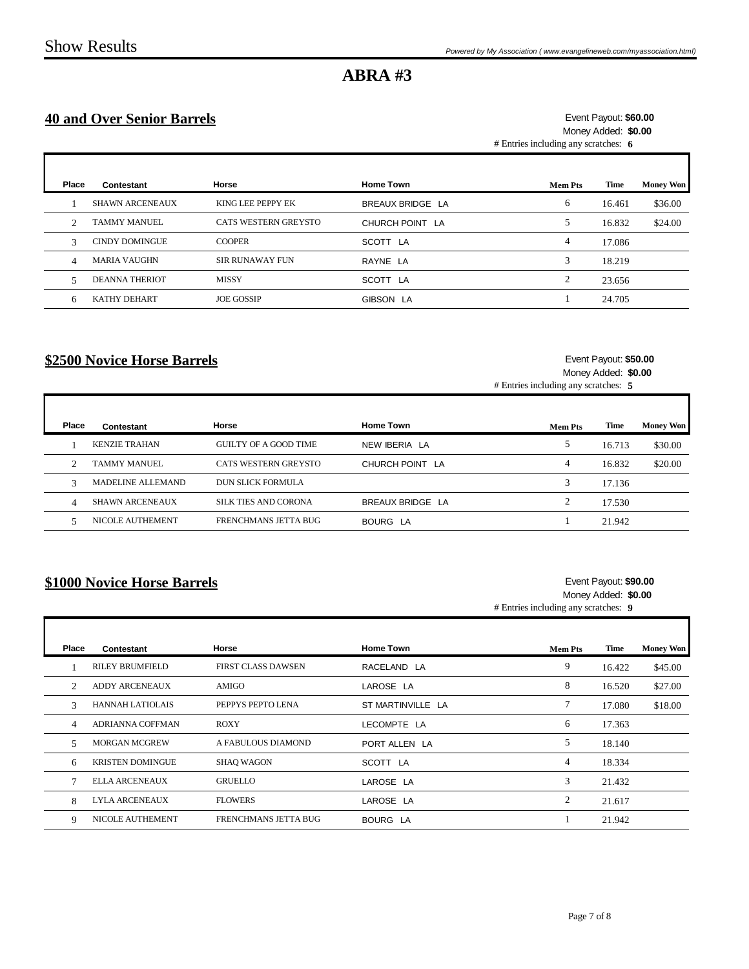### **40 and Over Senior Barrels**

#### # Entries including any scratches: **6 \$60.00** Event Payout: Money Added: **\$0.00**

| Place          | Contestant             | Horse                  | <b>Home Town</b> | <b>Mem Pts</b> | Time   | <b>Money Won</b> |
|----------------|------------------------|------------------------|------------------|----------------|--------|------------------|
|                | <b>SHAWN ARCENEAUX</b> | KING LEE PEPPY EK      | BREAUX BRIDGE LA | 6              | 16.461 | \$36.00          |
| $\mathfrak{D}$ | <b>TAMMY MANUEL</b>    | CATS WESTERN GREYSTO   | CHURCH POINT LA  | 5              | 16.832 | \$24.00          |
| 3              | <b>CINDY DOMINGUE</b>  | <b>COOPER</b>          | SCOTT LA         | 4              | 17.086 |                  |
| 4              | <b>MARIA VAUGHN</b>    | <b>SIR RUNAWAY FUN</b> | RAYNE LA         | 3              | 18.219 |                  |
| -5             | <b>DEANNA THERIOT</b>  | <b>MISSY</b>           | SCOTT LA         | $\mathfrak{D}$ | 23.656 |                  |
| 6              | <b>KATHY DEHART</b>    | <b>JOE GOSSIP</b>      | GIBSON LA        |                | 24.705 |                  |

## **\$2500 Novice Horse Barrels**

Г

Г

#### **\$50.00** Event Payout: Money Added: **\$0.00**

ī

ī

# Entries including any scratches: **5**

| Place      | Contestant               | Horse                        | <b>Home Town</b> | <b>Mem Pts</b> | Time   | <b>Money Won</b> |
|------------|--------------------------|------------------------------|------------------|----------------|--------|------------------|
|            | <b>KENZIE TRAHAN</b>     | <b>GUILTY OF A GOOD TIME</b> | NEW IBERIA LA    |                | 16.713 | \$30.00          |
| $\bigcirc$ | TAMMY MANUEL             | CATS WESTERN GREYSTO         | CHURCH POINT LA  | 4              | 16.832 | \$20.00          |
|            | <b>MADELINE ALLEMAND</b> | DUN SLICK FORMULA            |                  |                | 17.136 |                  |
| 4          | <b>SHAWN ARCENEAUX</b>   | SILK TIES AND CORONA         | BREAUX BRIDGE LA |                | 17.530 |                  |
|            | <b>NICOLE AUTHEMENT</b>  | FRENCHMANS JETTA BUG         | BOURG LA         |                | 21.942 |                  |

### **\$1000 Novice Horse Barrels**

#### **\$90.00** Event Payout: Money Added: **\$0.00**

# Entries including any scratches: **9**

| Place          | Contestant              | Horse                     | <b>Home Town</b>  | <b>Mem Pts</b> | Time   | <b>Money Won</b> |
|----------------|-------------------------|---------------------------|-------------------|----------------|--------|------------------|
|                | <b>RILEY BRUMFIELD</b>  | <b>FIRST CLASS DAWSEN</b> | RACELAND LA       | 9              | 16.422 | \$45.00          |
| $\mathfrak{D}$ | <b>ADDY ARCENEAUX</b>   | AMIGO                     | LAROSE LA         | 8              | 16.520 | \$27.00          |
| $\mathcal{R}$  | <b>HANNAH LATIOLAIS</b> | PEPPYS PEPTO LENA         | ST MARTINVILLE LA |                | 17.080 | \$18.00          |
| 4              | ADRIANNA COFFMAN        | <b>ROXY</b>               | LECOMPTE LA       | 6              | 17.363 |                  |
| 5              | <b>MORGAN MCGREW</b>    | A FABULOUS DIAMOND        | PORT ALLEN LA     | 5              | 18.140 |                  |
| 6              | <b>KRISTEN DOMINGUE</b> | <b>SHAQ WAGON</b>         | SCOTT LA          | 4              | 18.334 |                  |
|                | <b>ELLA ARCENEAUX</b>   | <b>GRUELLO</b>            | LAROSE LA         | 3              | 21.432 |                  |
| 8              | <b>LYLA ARCENEAUX</b>   | <b>FLOWERS</b>            | LAROSE LA         | $\overline{2}$ | 21.617 |                  |
| 9              | NICOLE AUTHEMENT        | FRENCHMANS JETTA BUG      | <b>BOURG LA</b>   |                | 21.942 |                  |